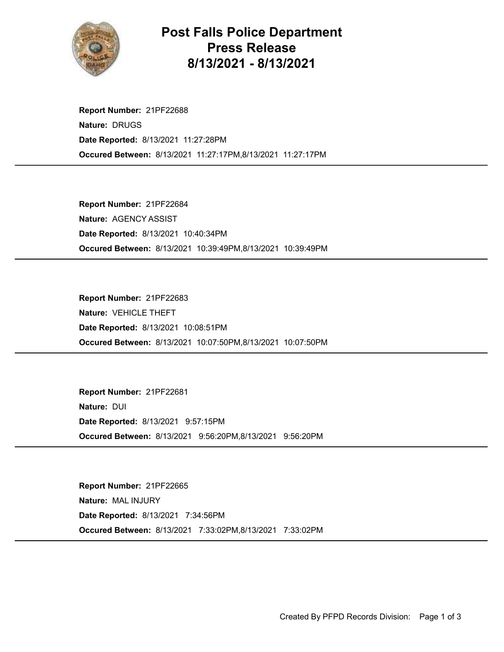

## Post Falls Police Department Press Release 8/13/2021 - 8/13/2021

Occured Between: 8/13/2021 11:27:17PM,8/13/2021 11:27:17PM Report Number: 21PF22688 Nature: DRUGS Date Reported: 8/13/2021 11:27:28PM

Occured Between: 8/13/2021 10:39:49PM,8/13/2021 10:39:49PM Report Number: 21PF22684 Nature: AGENCY ASSIST Date Reported: 8/13/2021 10:40:34PM

Occured Between: 8/13/2021 10:07:50PM,8/13/2021 10:07:50PM Report Number: 21PF22683 Nature: VEHICLE THEFT Date Reported: 8/13/2021 10:08:51PM

Occured Between: 8/13/2021 9:56:20PM,8/13/2021 9:56:20PM Report Number: 21PF22681 Nature: DUI Date Reported: 8/13/2021 9:57:15PM

Occured Between: 8/13/2021 7:33:02PM,8/13/2021 7:33:02PM Report Number: 21PF22665 Nature: MAL INJURY Date Reported: 8/13/2021 7:34:56PM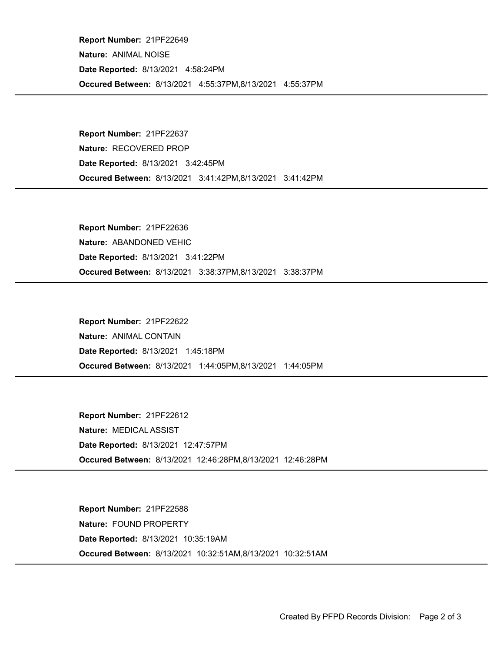Occured Between: 8/13/2021 4:55:37PM,8/13/2021 4:55:37PM Report Number: 21PF22649 Nature: ANIMAL NOISE Date Reported: 8/13/2021 4:58:24PM

Occured Between: 8/13/2021 3:41:42PM,8/13/2021 3:41:42PM Report Number: 21PF22637 Nature: RECOVERED PROP Date Reported: 8/13/2021 3:42:45PM

Occured Between: 8/13/2021 3:38:37PM,8/13/2021 3:38:37PM Report Number: 21PF22636 Nature: ABANDONED VEHIC Date Reported: 8/13/2021 3:41:22PM

Occured Between: 8/13/2021 1:44:05PM,8/13/2021 1:44:05PM Report Number: 21PF22622 Nature: ANIMAL CONTAIN Date Reported: 8/13/2021 1:45:18PM

Occured Between: 8/13/2021 12:46:28PM,8/13/2021 12:46:28PM Report Number: 21PF22612 Nature: MEDICAL ASSIST Date Reported: 8/13/2021 12:47:57PM

Occured Between: 8/13/2021 10:32:51AM,8/13/2021 10:32:51AM Report Number: 21PF22588 Nature: FOUND PROPERTY Date Reported: 8/13/2021 10:35:19AM